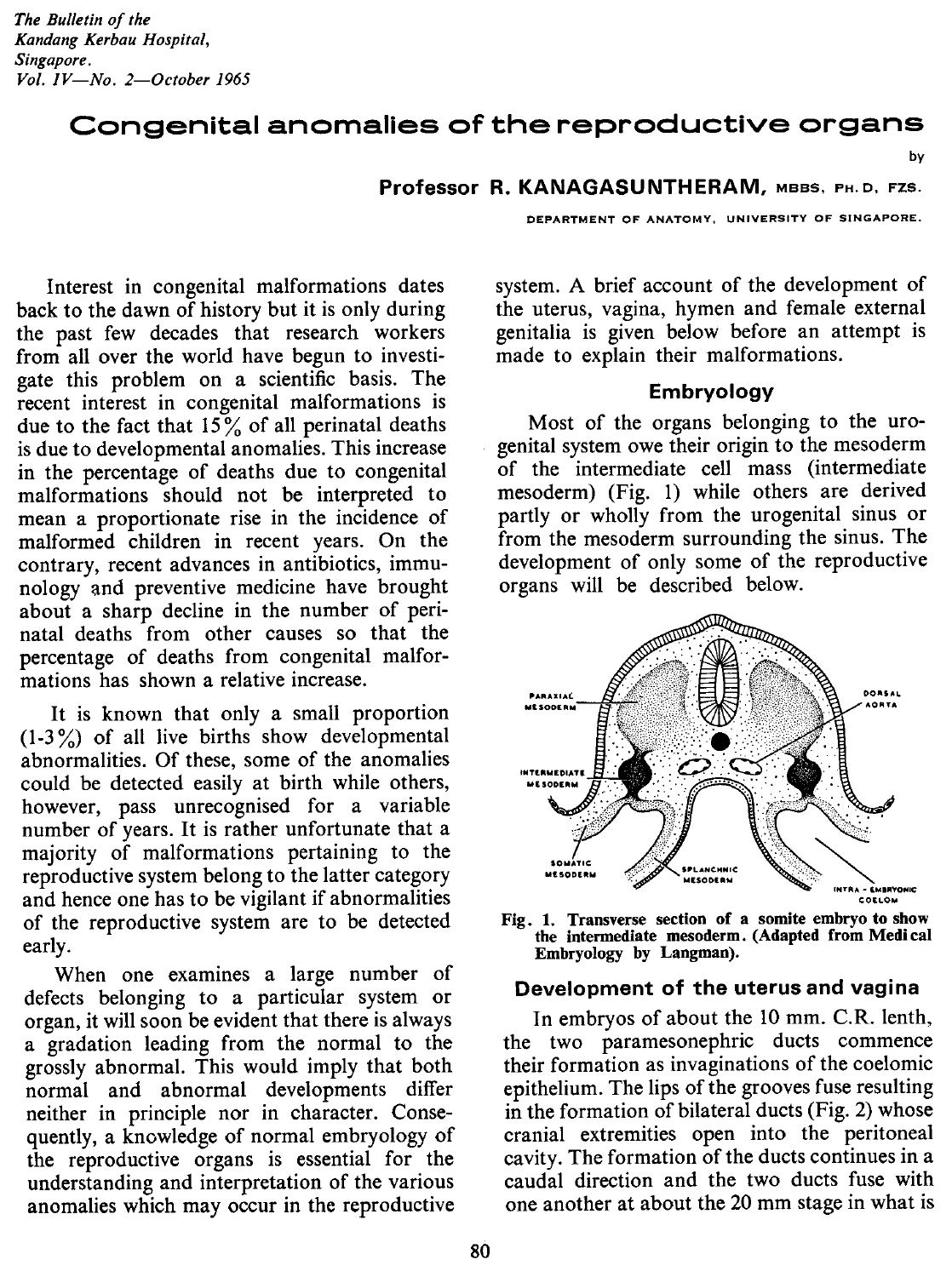# Congenital anomalies of the reproductive organs

by

#### Professor R. KANAGASUNTHERAM, MBBS, PH.D, FZS.

Interest in congenital malformations dates back to the dawn of history but it is only during the past few decades that research workers from all over the world have begun to investigate this problem on a scientific basis. The recent interest in congenital malformations is due to the fact that  $15\%$  of all perinatal deaths is due to developmental anomalies. This increase in the percentage of deaths due to congenital malformations should not be interpreted to mean a proportionate rise in the incidence of malformed children in recent years. On the contrary, recent advances in antibiotics, immunology and preventive medicine have brought about a sharp decline in the number of perinatal deaths from other causes so that the percentage of deaths from congenital malformations has shown a relative increase.

It is known that only a small proportion  $(1-3\%)$  of all live births show developmental abnormalities. Of these, some of the anomalies could be detected easily at birth while others, however, pass unrecognised for a variable number of years. It is rather unfortunate that a majority of malformations pertaining to the reproductive system belong to the latter category and hence one has to be vigilant if abnormalities of the reproductive system are to be detected early.

When one examines a large number of defects belonging to a particular system or organ, it will soon be evident that there is always a gradation leading from the normal to the grossly abnormal. This would imply that both normal and abnormal developments differ neither in principle nor in character. Consequently, a knowledge of normal embryology of the reproductive organs is essential for the understanding and interpretation of the various anomalies which may occur in the reproductive

DEPARTMENT OF ANATOMY, UNIVERSITY OF SINGAPORE.

system. A brief account of the development of the uterus, vagina, hymen and female external genitalia is given below before an attempt is made to explain their malformations.

#### Embryology

Most of the organs belonging to the urogenital system owe their origin to the mesoderm of the intermediate cell mass (intermediate mesoderm) (Fig. 1) while others are derived partly or wholly from the urogenital sinus or from the mesoderm surrounding the sinus. The development of only some of the reproductive organs will be described below.



Fig. 1. Transverse section of a somite embryo to show the intermediate mesoderm. (Adapted from Medical Embryology by Langman).

### Development of the uterus and vagina

In embryos of about the 10 mm. C.R. lenth, the two paramesonephric ducts commence their formation as invaginations of the coelomic epithelium. The lips of the grooves fuse resulting in the formation of bilateral ducts (Fig. 2) whose cranial extremities open into the peritoneal cavity. The formation of the ducts continues in a caudal direction and the two ducts fuse with one another at about the 20 mm stage in what is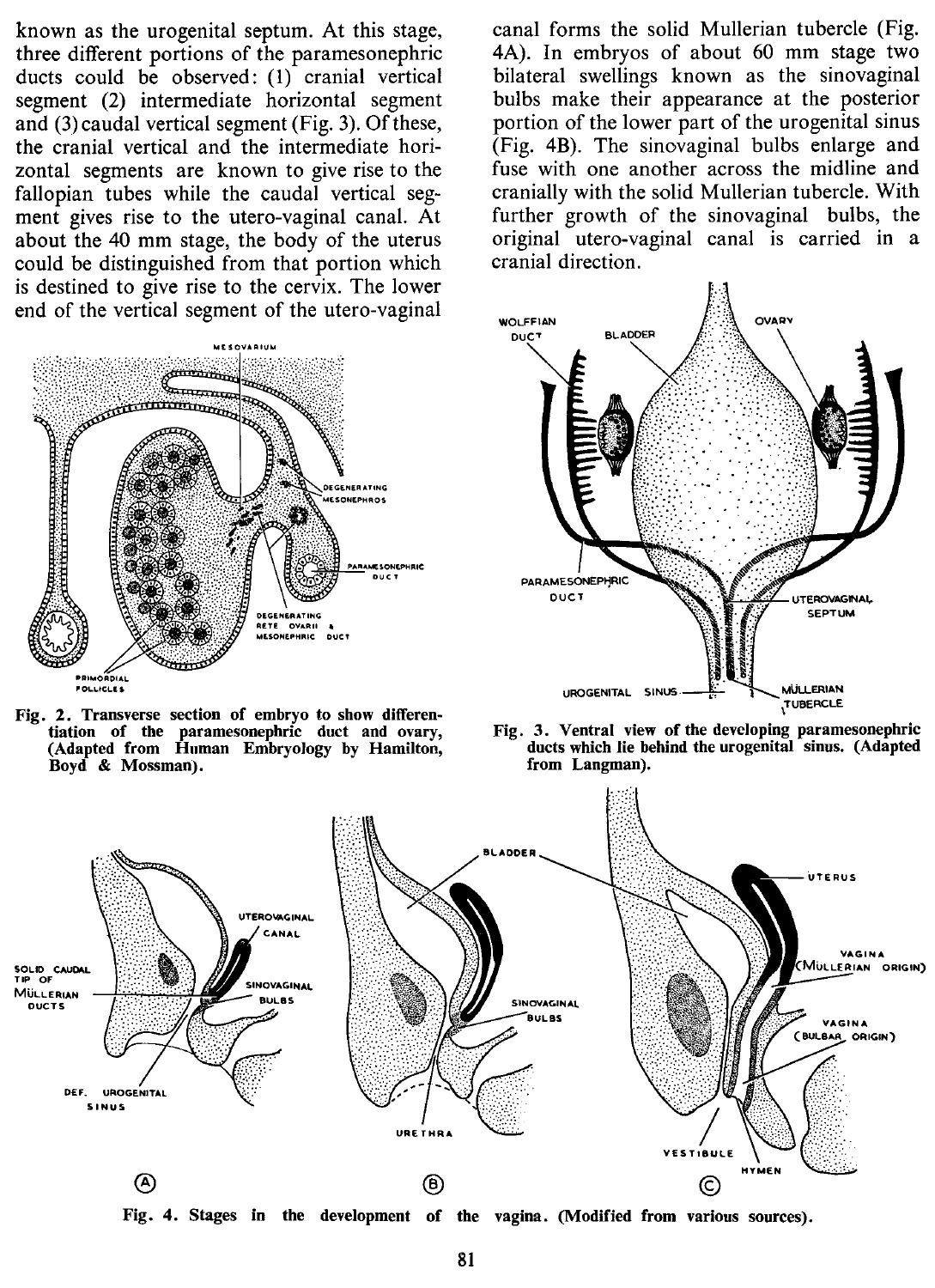known as the urogenital septum. At this stage, three different portions of the paramesonephric ducts could be observed: (1) cranial vertical segment (2) intermediate horizontal segment and (3)caudal vertical segment (Fig. 3). Of these, the cranial vertical and the intermediate horizontal segments are known to give rise to the fallopian tubes while the caudal vertical segment gives rise to the utero-vaginal canal. At about the 40 mm stage, the body of the uterus could be distinguished from that portion which is destined to give rise to the cervix. The lower end of the vertical segment of the utero-vaginal



Fig. 2. Transverse section of embryo to show differentiation of the paramesonephric duct and ovary, (Adapted from Human Embryology by Hamilton, Boyd & Mossman).

canal forms the solid Mullerian tubercle (Fig. 4A). In embryos of about 60 mm stage two bilateral swellings known as the sinovaginal bulbs make their appearance at the posterior portion of the lower part of the urogenital sinus (Fig. 4B). The sinovaginal bulbs enlarge and fuse with one another across the midline and cranially with the solid Mullerian tubercle. With further growth of the sinovaginal bulbs, the original utero-vaginal canal is carried in a cranial direction.







Fig. 4. Stages in the development of the vagina. (Modified from various sources).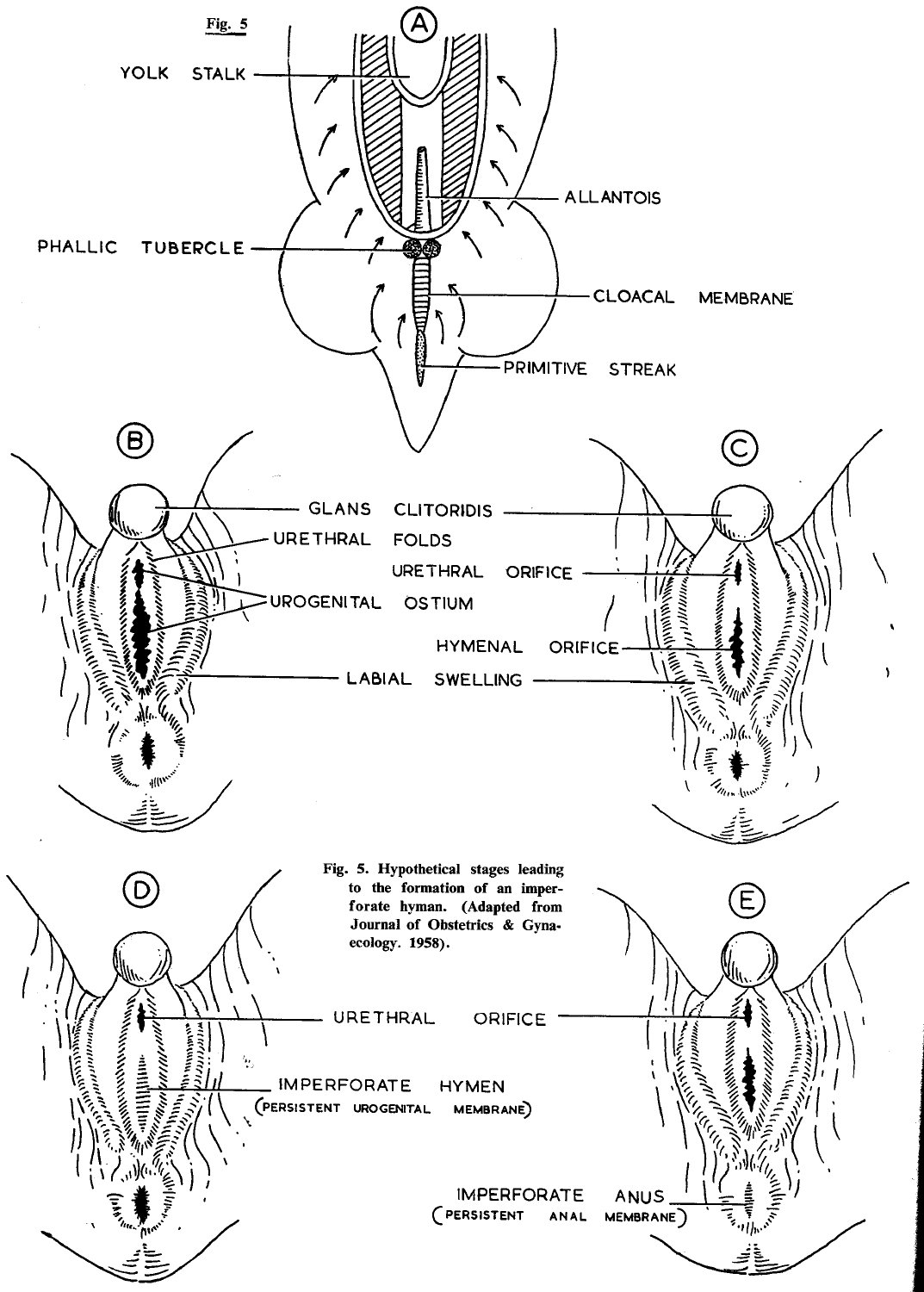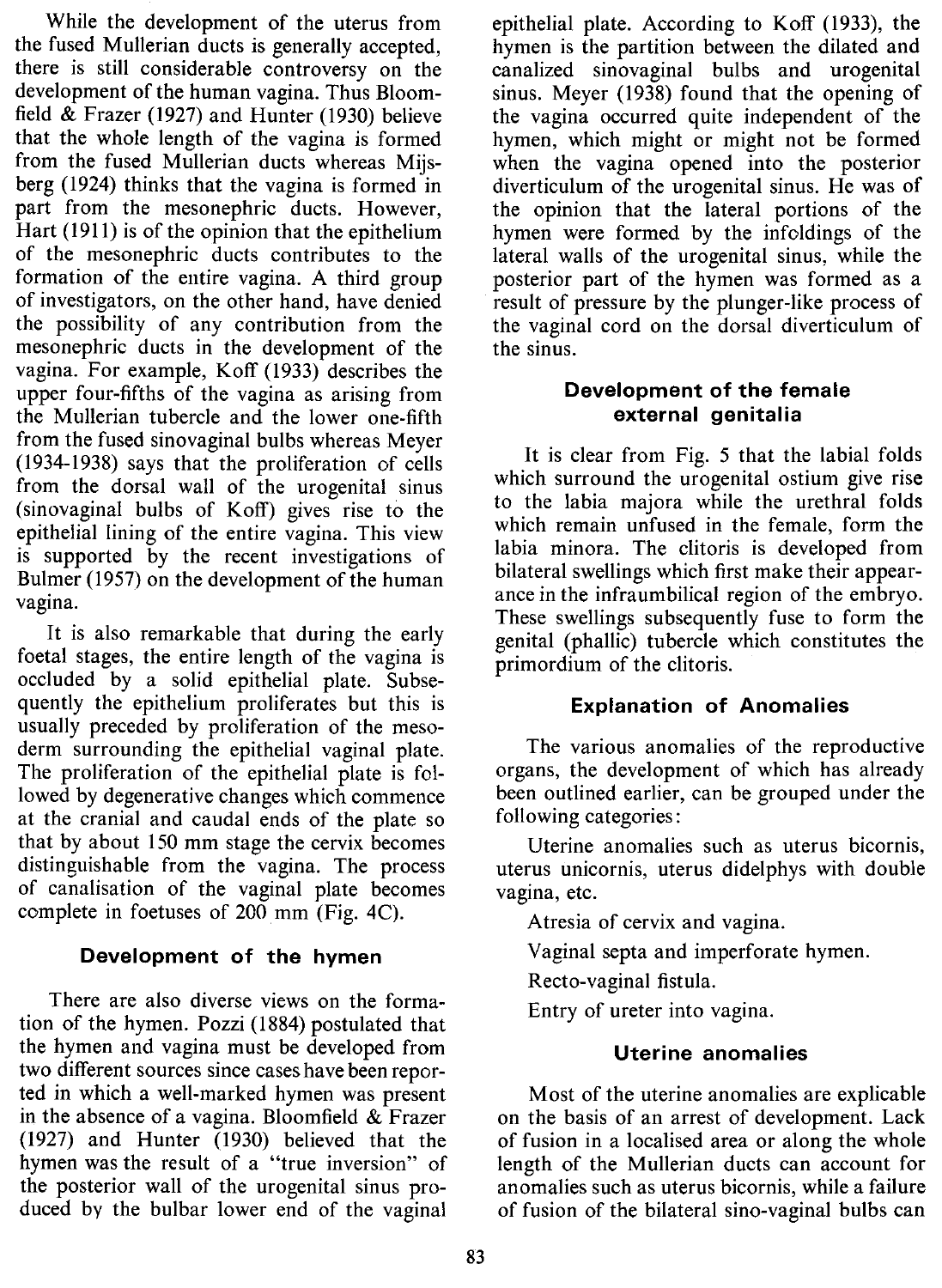While the development of the uterus from the fused Mullerian ducts is generally accepted, there is still considerable controversy on the development of the human vagina. Thus Bloomfield & Frazer (1927) and Hunter (1930) believe that the whole length of the vagina is formed from the fused Mullerian ducts whereas Mijsberg (1924) thinks that the vagina is formed in part from the mesonephric ducts. However, Hart (1911) is of the opinion that the epithelium of the mesonephric ducts contributes to the formation of the entire vagina. A third group of investigators, on the other hand, have denied the possibility of any contribution from the mesonephric ducts in the development of the vagina. For example, Koff (1933) describes the upper four-fifths of the vagina as arising from the Mullerian tubercle and the lower one-fifth from the fused sinovaginal bulbs whereas Meyer (1934-1938) says that the proliferation of cells from the dorsal wall of the urogenital sinus (sinovaginal bulbs of Koff) gives rise to the epithelial lining of the entire vagina. This view is supported by the recent investigations of Bulmer (1957) on the development of the human vagina.

It is also remarkable that during the early foetal stages, the entire length of the vagina is occluded by a solid epithelial plate. Subsequently the epithelium proliferates but this is usually preceded by proliferation of the mesoderm surrounding the epithelial vaginal plate. The proliferation of the epithelial plate is followed by degenerative changes which commence at the cranial and caudal ends of the plate so that by about 150 mm stage the cervix becomes distinguishable from the vagina. The process of canalisation of the vaginal plate becomes complete in foetuses of 200 mm (Fig. 4C).

## **Development of the hymen**

There are also diverse views on the formation of the hymen. Pozzi (1884) postulated that the hymen and vagina must be developed from two different sources since cases have been reported in which a well-marked hymen was present in the absence of a vagina. Bloomfield  $&$  Frazer (1927) and Hunter (1930) believed that the hymen was the result of a "true inversion" of the posterior wall of the urogenital sinus produced by the bulbar lower end of the vaginal

epithelial plate. According to Koff (1933), the hymen is the partition between the dilated and canalized sinovaginal bulbs and urogenital sinus. Meyer (1938) found that the opening of the vagina occurred quite independent of the hymen, which might or might not be formed when the vagina opened into the posterior diverticulum of the urogenital sinus. He was of the opinion that the lateral portions of the hymen were formed by the infoldings of the lateral walls of the urogenital sinus, while the posterior part of the hymen was formed as a result of pressure by the plunger-like process of the vaginal cord on the dorsal diverticulum of the sinus.

## **Development of the female external genitalia**

It is clear from Fig. 5 that the labial folds which surround the urogenital ostium give rise to the labia majora while the urethral folds which remain unfused in the female, form the labia minora. The clitoris is developed from bilateral swellings which first make their appearance in the infraumbilical region of the embryo. These swellings subsequently fuse to form the genital (phallic) tubercle which constitutes the primordium of the clitoris.

## **Explanation of Anomalies**

The various anomalies of the reproductive organs, the development of which has already been outlined earlier, can be grouped under the following categories:

Uterine anomalies such as uterus bicornis, uterus unicornis, uterus didelphys with double vagina, etc.

Atresia of cervix and vagina.

Vaginal septa and imperforate hymen.

Recto-vaginal fistula.

Entry of ureter into vagina.

## **Uterine anomalies**

Most of the uterine anomalies are explicable on the basis of an arrest of development. Lack of fusion in a localised area or along the whole length of the Mullerian ducts can account for anomalies such as uterus bicornis, while a failure of fusion of the bilateral sino-vaginal bulbs can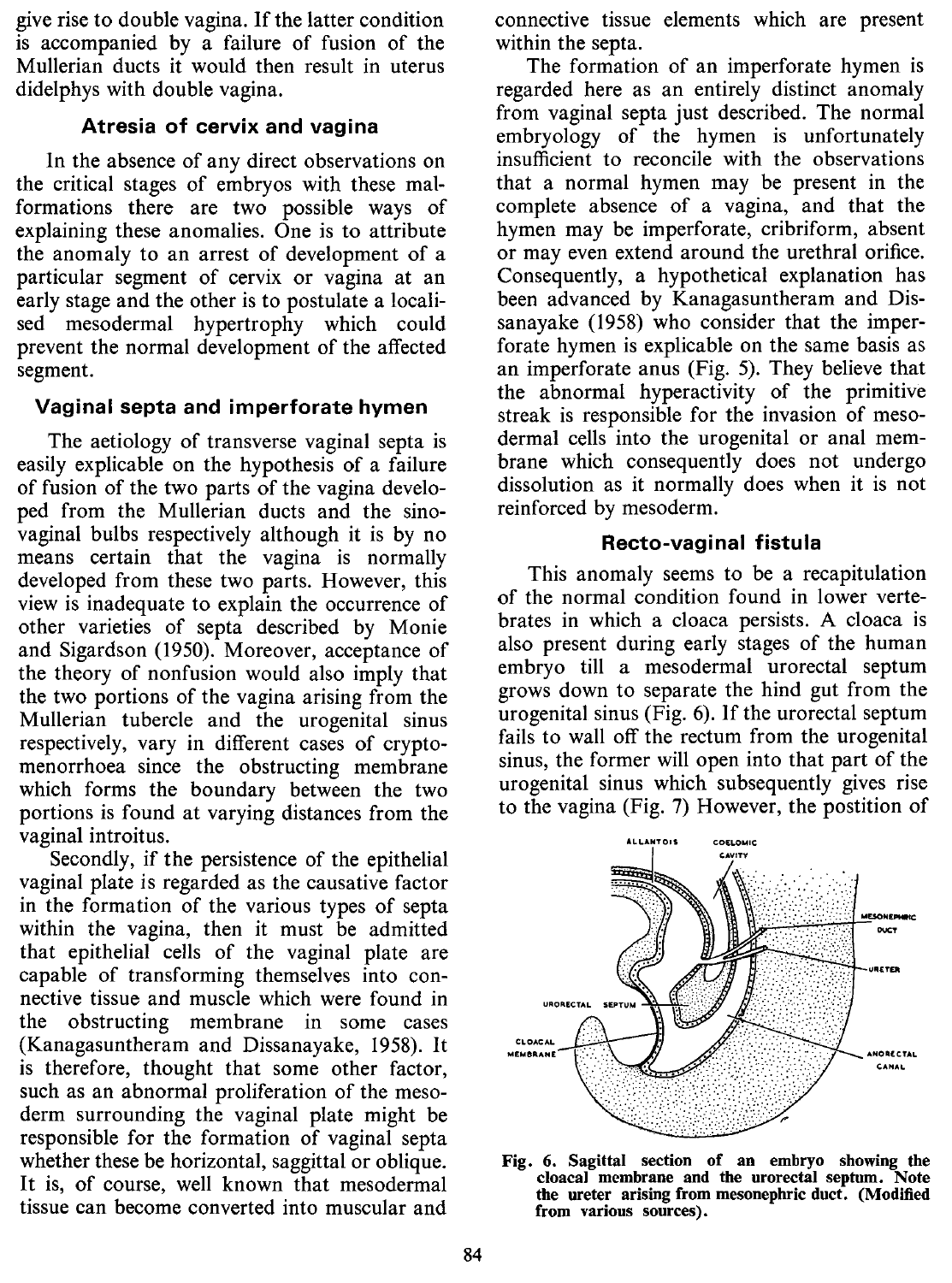give rise to double vagina. If the latter condition is accompanied by a failure of fusion of the Mullerian ducts it would then result in uterus didelphys with double vagina.

## **Atresia of cervix and vagina**

In the absence of any direct observations on the critical stages of embryos with these malformations there are two possible ways of explaining these anomalies. One is to attribute the anomaly to an arrest of development of a particular segment of cervix or vagina at an early stage and the other is to postulate a localised mesodermal hypertrophy which could prevent the normal development of the affected segment.

## **Vaginal septa and imperforate hymen**

The aetiology of transverse vaginal septa is easily explicable on the hypothesis of a failure of fusion of the two parts of the vagina developed from the Mullerian ducts and the sinovaginal bulbs respectively although it is by no means certain that the vagina is normally developed from these two parts. However, this view is inadequate to explain the occurrence of other varieties of septa described by Monie and Sigardson (1950). Moreover, acceptance of the theory of nonfusion would also imply that the two portions of the vagina arising from the Mullerian tubercle and the urogenital sinus respectively, vary in different cases of cryptomenorrhoea since the obstructing membrane which forms the boundary between the two portions is found at varying distances from the vaginal introitus.

Secondly, if the persistence of the epithelial vaginal plate is regarded as the causative factor in the formation of the various types of septa within the vagina, then it must be admitted that epithelial cells of the vaginal plate are capable of transforming themselves into connective tissue and muscle which were found in the obstructing membrane in some cases (Kanagasuntheram and Dissanayake, 1958). It is therefore, thought that some other factor, such as an abnormal proliferation of the mesoderm surrounding the vaginal plate might be responsible for the formation of vaginal septa whether these be horizontal, saggittal or oblique. It is, of course, well known that mesodermal tissue can become converted into muscular and

connective tissue elements which are present within the septa.

The formation of an imperforate hymen is regarded here as an entirely distinct anomaly from vaginal septa just described. The normal embryology of the hymen is unfortunately insufficient to reconcile with the observations that a normal hymen may be present in the complete absence of a vagina, and that the hymen may be imperforate, cribriform, absent or may even extend around the urethral orifice. Consequently, a hypothetical explanation has been advanced by Kanagasuntheram and Dissanayake (1958) who consider that the imperforate hymen is explicable on the same basis as an imperforate anus (Fig. 5). They believe that the abnormal hyperactivity of the primitive streak is responsible for the invasion of mesodermal cells into the urogenital or anal membrane which consequently does not undergo dissolution as it normally does when it is not reinforced by mesoderm.

#### **Recto-vaginal fistula**

This anomaly seems to be a recapitulation of the normal condition found in lower vertebrates in which a cloaca persists. A cloaca is also present during early stages of the human embryo till a mesodermal urorectal septum grows down to separate the hind gut from the urogenital sinus (Fig. 6). If the urorectal septum fails to wall off the rectum from the urogenital sinus, the former will open into that part of the urogenital sinus which subsequently gives rise to the vagina (Fig. 7) However, the postition of



Fig. 6. Sagittal section of an embryo showing the cloacal membrane and the urorectal septum. Note the ureter arising from mesonephric duct. (Modified from various sources).